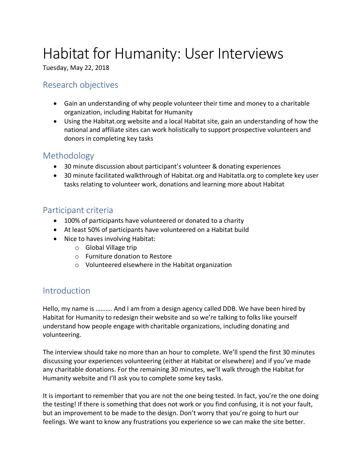# Habitat for Humanity: User Interviews

Tuesday, May 22, 2018

### Research objectives

- Gain an understanding of why people volunteer their time and money to a charitable organization, including Habitat for Humanity
- Using the Habitat.org website and a local Habitat site, gain an understanding of how the national and affiliate sites can work holistically to support prospective volunteers and donors in completing key tasks

#### Methodology

- 30 minute discussion about participant's volunteer & donating experiences
- 30 minute facilitated walkthrough of Habitat.org and Habitatla.org to complete key user tasks relating to volunteer work, donations and learning more about Habitat

## Participant criteria

- 100% of participants have volunteered or donated to a charity
- At least 50% of participants have volunteered on a Habitat build
- Nice to haves involving Habitat:
	- o Global Village trip
	- o Furniture donation to Restore
	- o Volunteered elsewhere in the Habitat organization

## **Introduction**

Hello, my name is ………. And I am from a design agency called DDB. We have been hired by Habitat for Humanity to redesign their website and so we're talking to folks like yourself understand how people engage with charitable organizations, including donating and volunteering.

The interview should take no more than an hour to complete. We'll spend the first 30 minutes discussing your experiences volunteering (either at Habitat or elsewhere) and if you've made any charitable donations. For the remaining 30 minutes, we'll walk through the Habitat for Humanity website and I'll ask you to complete some key tasks.

It is important to remember that you are not the one being tested. In fact, you're the one doing the testing! If there is something that does not work or you find confusing, it is not your fault, but an improvement to be made to the design. Don't worry that you're going to hurt our feelings. We want to know any frustrations you experience so we can make the site better.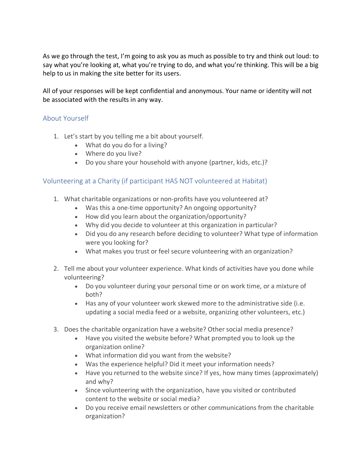As we go through the test, I'm going to ask you as much as possible to try and think out loud: to say what you're looking at, what you're trying to do, and what you're thinking. This will be a big help to us in making the site better for its users.

All of your responses will be kept confidential and anonymous. Your name or identity will not be associated with the results in any way.

#### About Yourself

- 1. Let's start by you telling me a bit about yourself.
	- What do you do for a living?
	- Where do you live?
	- Do you share your household with anyone (partner, kids, etc.)?

#### Volunteering at a Charity (if participant HAS NOT volunteered at Habitat)

- 1. What charitable organizations or non-profits have you volunteered at?
	- Was this a one-time opportunity? An ongoing opportunity?
	- How did you learn about the organization/opportunity?
	- Why did you decide to volunteer at this organization in particular?
	- Did you do any research before deciding to volunteer? What type of information were you looking for?
	- What makes you trust or feel secure volunteering with an organization?
- 2. Tell me about your volunteer experience. What kinds of activities have you done while volunteering?
	- Do you volunteer during your personal time or on work time, or a mixture of both?
	- Has any of your volunteer work skewed more to the administrative side (i.e. updating a social media feed or a website, organizing other volunteers, etc.)
- 3. Does the charitable organization have a website? Other social media presence?
	- Have you visited the website before? What prompted you to look up the organization online?
	- What information did you want from the website?
	- Was the experience helpful? Did it meet your information needs?
	- Have you returned to the website since? If yes, how many times (approximately) and why?
	- Since volunteering with the organization, have you visited or contributed content to the website or social media?
	- Do you receive email newsletters or other communications from the charitable organization?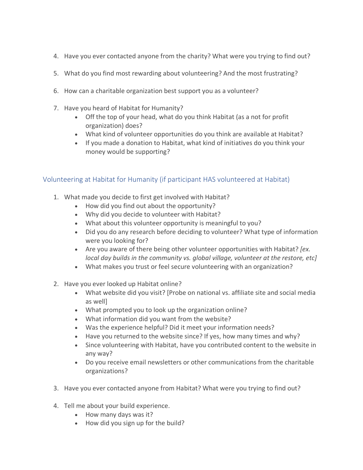- 4. Have you ever contacted anyone from the charity? What were you trying to find out?
- 5. What do you find most rewarding about volunteering? And the most frustrating?
- 6. How can a charitable organization best support you as a volunteer?
- 7. Have you heard of Habitat for Humanity?
	- Off the top of your head, what do you think Habitat (as a not for profit organization) does?
	- What kind of volunteer opportunities do you think are available at Habitat?
	- If you made a donation to Habitat, what kind of initiatives do you think your money would be supporting?

#### Volunteering at Habitat for Humanity (if participant HAS volunteered at Habitat)

- 1. What made you decide to first get involved with Habitat?
	- How did you find out about the opportunity?
	- Why did you decide to volunteer with Habitat?
	- What about this volunteer opportunity is meaningful to you?
	- Did you do any research before deciding to volunteer? What type of information were you looking for?
	- Are you aware of there being other volunteer opportunities with Habitat? *[ex. local day builds in the community vs. global village, volunteer at the restore, etc]*
	- What makes you trust or feel secure volunteering with an organization?
- 2. Have you ever looked up Habitat online?
	- What website did you visit? [Probe on national vs. affiliate site and social media as well]
	- What prompted you to look up the organization online?
	- What information did you want from the website?
	- Was the experience helpful? Did it meet your information needs?
	- Have you returned to the website since? If yes, how many times and why?
	- Since volunteering with Habitat, have you contributed content to the website in any way?
	- Do you receive email newsletters or other communications from the charitable organizations?
- 3. Have you ever contacted anyone from Habitat? What were you trying to find out?
- 4. Tell me about your build experience.
	- How many days was it?
	- How did you sign up for the build?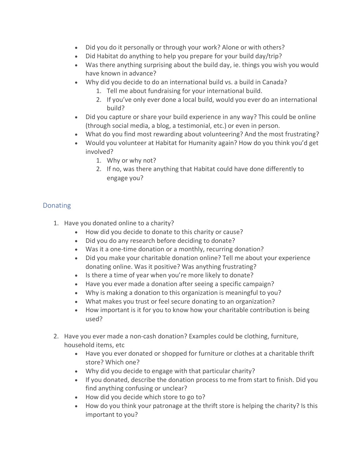- Did you do it personally or through your work? Alone or with others?
- Did Habitat do anything to help you prepare for your build day/trip?
- Was there anything surprising about the build day, ie. things you wish you would have known in advance?
- Why did you decide to do an international build vs. a build in Canada?
	- 1. Tell me about fundraising for your international build.
	- 2. If you've only ever done a local build, would you ever do an international build?
- Did you capture or share your build experience in any way? This could be online (through social media, a blog, a testimonial, etc.) or even in person.
- What do you find most rewarding about volunteering? And the most frustrating?
- Would you volunteer at Habitat for Humanity again? How do you think you'd get involved?
	- 1. Why or why not?
	- 2. If no, was there anything that Habitat could have done differently to engage you?

#### **Donating**

- 1. Have you donated online to a charity?
	- How did you decide to donate to this charity or cause?
	- Did you do any research before deciding to donate?
	- Was it a one-time donation or a monthly, recurring donation?
	- Did you make your charitable donation online? Tell me about your experience donating online. Was it positive? Was anything frustrating?
	- Is there a time of year when you're more likely to donate?
	- Have you ever made a donation after seeing a specific campaign?
	- Why is making a donation to this organization is meaningful to you?
	- What makes you trust or feel secure donating to an organization?
	- How important is it for you to know how your charitable contribution is being used?
- 2. Have you ever made a non-cash donation? Examples could be clothing, furniture, household items, etc
	- Have you ever donated or shopped for furniture or clothes at a charitable thrift store? Which one?
	- Why did you decide to engage with that particular charity?
	- If you donated, describe the donation process to me from start to finish. Did you find anything confusing or unclear?
	- How did you decide which store to go to?
	- How do you think your patronage at the thrift store is helping the charity? Is this important to you?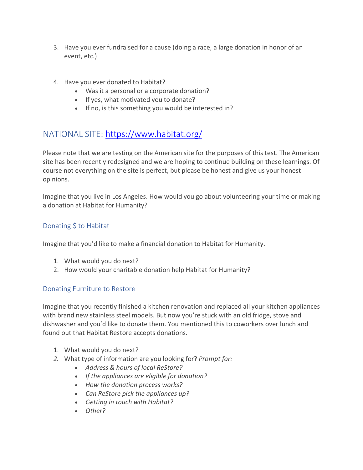- 3. Have you ever fundraised for a cause (doing a race, a large donation in honor of an event, etc.)
- 4. Have you ever donated to Habitat?
	- Was it a personal or a corporate donation?
	- If yes, what motivated you to donate?
	- If no, is this something you would be interested in?

# NATIONAL SITE: https://www.habitat.org/

Please note that we are testing on the American site for the purposes of this test. The American site has been recently redesigned and we are hoping to continue building on these learnings. Of course not everything on the site is perfect, but please be honest and give us your honest opinions.

Imagine that you live in Los Angeles. How would you go about volunteering your time or making a donation at Habitat for Humanity?

#### Donating \$ to Habitat

Imagine that you'd like to make a financial donation to Habitat for Humanity.

- 1. What would you do next?
- 2. How would your charitable donation help Habitat for Humanity?

#### Donating Furniture to Restore

Imagine that you recently finished a kitchen renovation and replaced all your kitchen appliances with brand new stainless steel models. But now you're stuck with an old fridge, stove and dishwasher and you'd like to donate them. You mentioned this to coworkers over lunch and found out that Habitat Restore accepts donations.

- 1. What would you do next?
- *2.* What type of information are you looking for? *Prompt for:*
	- *Address & hours of local ReStore?*
	- *If the appliances are eligible for donation?*
	- *How the donation process works?*
	- *Can ReStore pick the appliances up?*
	- *Getting in touch with Habitat?*
	- *Other?*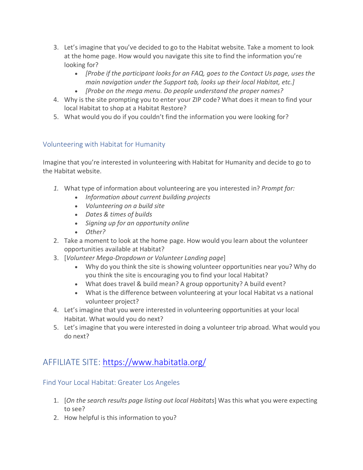- 3. Let's imagine that you've decided to go to the Habitat website. Take a moment to look at the home page. How would you navigate this site to find the information you're looking for?
	- *[Probe if the participant looks for an FAQ, goes to the Contact Us page, uses the main navigation under the Support tab, looks up their local Habitat, etc.]*
	- *[Probe on the mega menu. Do people understand the proper names?*
- 4. Why is the site prompting you to enter your ZIP code? What does it mean to find your local Habitat to shop at a Habitat Restore?
- 5. What would you do if you couldn't find the information you were looking for?

#### Volunteering with Habitat for Humanity

Imagine that you're interested in volunteering with Habitat for Humanity and decide to go to the Habitat website.

- *1.* What type of information about volunteering are you interested in? *Prompt for:*
	- *Information about current building projects*
	- *Volunteering on a build site*
	- *Dates & times of builds*
	- *Signing up for an opportunity online*
	- *Other?*
- 2. Take a moment to look at the home page. How would you learn about the volunteer opportunities available at Habitat?
- 3. [*Volunteer Mega-Dropdown or Volunteer Landing page*]
	- Why do you think the site is showing volunteer opportunities near you? Why do you think the site is encouraging you to find your local Habitat?
	- What does travel & build mean? A group opportunity? A build event?
	- What is the difference between volunteering at your local Habitat vs a national volunteer project?
- 4. Let's imagine that you were interested in volunteering opportunities at your local Habitat. What would you do next?
- 5. Let's imagine that you were interested in doing a volunteer trip abroad. What would you do next?

# AFFILIATE SITE: https://www.habitatla.org/

#### Find Your Local Habitat: Greater Los Angeles

- 1. [*On the search results page listing out local Habitats*] Was this what you were expecting to see?
- 2. How helpful is this information to you?